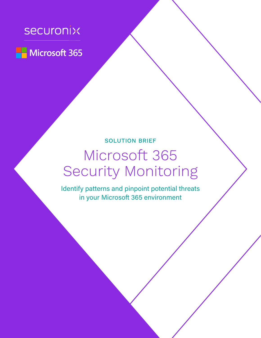# securonix



# SOLUTION BRIEF

# Microsoft 365 Security Monitoring

Identify patterns and pinpoint potential threats in your Microsoft 365 environment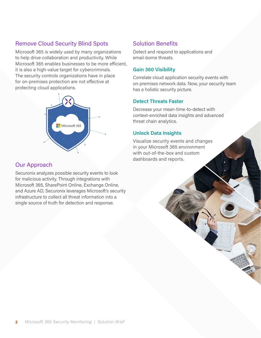# Remove Cloud Security Blind Spots

Microsoft 365 is widely used by many organizations to help drive collaboration and productivity. While Microsoft 365 enables businesses to be more efficient, it is also a high-value target for cybercriminals. The security controls organizations have in place for on-premises protection are not effective at protecting cloud applications.



#### Our Approach

Securonix analyzes possible security events to look for malicious activity. Through integrations with Microsoft 365, SharePoint Online, Exchange Online, and Azure AD, Securonix leverages Microsoft's security infrastructure to collect all threat information into a single source of truth for detection and response.

### Solution Benefits

Detect and respond to applications and email-borne threats.

#### **Gain 360 Visibility**

Correlate cloud application security events with on-premises network data. Now, your security team has a holistic security picture.

#### **Detect Threats Faster**

Decrease your mean-time-to-detect with context-enriched data insights and advanced threat chain analytics.

#### **Unlock Data Insights**

Visualize security events and changes in your Microsoft 365 environment with out-of-the-box and custom dashboards and reports.